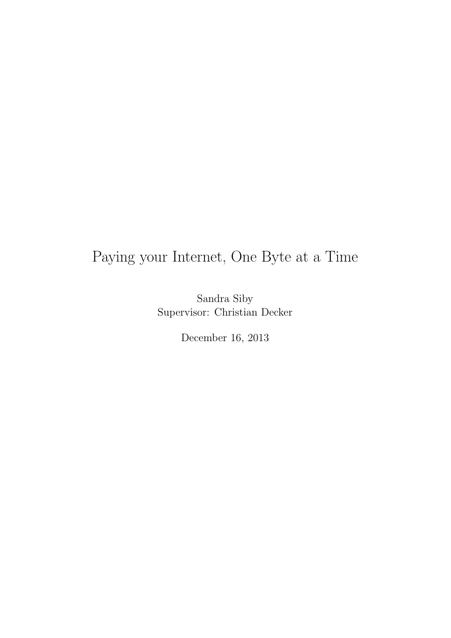### Paying your Internet, One Byte at a Time

Sandra Siby Supervisor: Christian Decker

December 16, 2013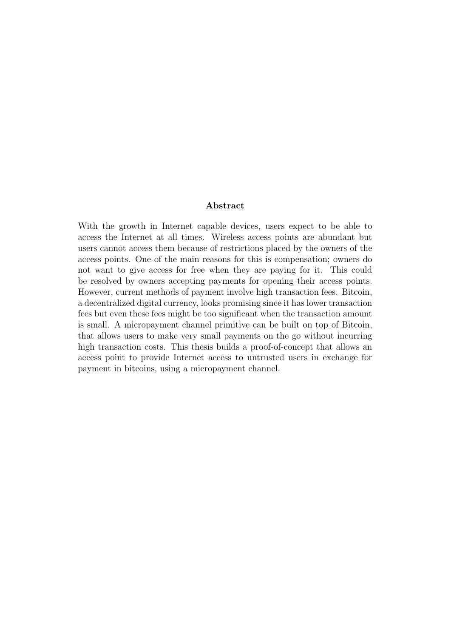#### Abstract

With the growth in Internet capable devices, users expect to be able to access the Internet at all times. Wireless access points are abundant but users cannot access them because of restrictions placed by the owners of the access points. One of the main reasons for this is compensation; owners do not want to give access for free when they are paying for it. This could be resolved by owners accepting payments for opening their access points. However, current methods of payment involve high transaction fees. Bitcoin, a decentralized digital currency, looks promising since it has lower transaction fees but even these fees might be too significant when the transaction amount is small. A micropayment channel primitive can be built on top of Bitcoin, that allows users to make very small payments on the go without incurring high transaction costs. This thesis builds a proof-of-concept that allows an access point to provide Internet access to untrusted users in exchange for payment in bitcoins, using a micropayment channel.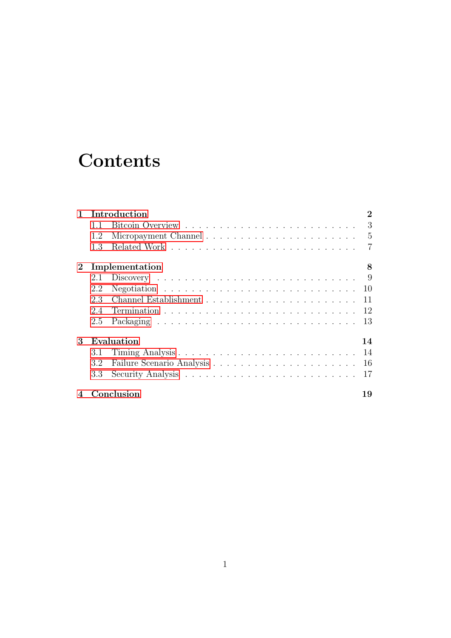## **Contents**

| $\mathbf{1}$ |     | Introduction                                                        | $\bf{2}$       |
|--------------|-----|---------------------------------------------------------------------|----------------|
|              | 1.1 |                                                                     | 3              |
|              | 1.2 |                                                                     | 5              |
|              | 1.3 |                                                                     | $\overline{7}$ |
| $\bf{2}$     |     | Implementation                                                      | 8              |
|              | 2.1 | $Discovery \ldots \ldots \ldots \ldots \ldots \ldots \ldots \ldots$ | 9              |
|              | 2.2 |                                                                     | 10             |
|              | 2.3 |                                                                     | 11             |
|              | 2.4 |                                                                     | 12             |
|              | 2.5 |                                                                     | 13             |
| 3            |     | Evaluation                                                          | 14             |
|              | 3.1 |                                                                     | 14             |
|              | 3.2 |                                                                     | 16             |
|              | 3.3 |                                                                     | 17             |
| 4            |     | Conclusion                                                          |                |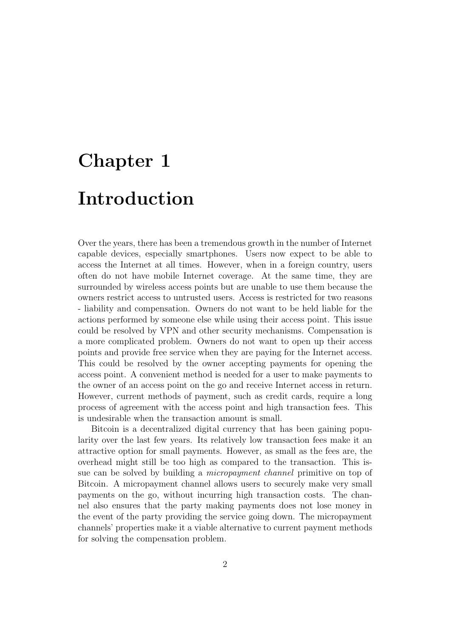## <span id="page-3-0"></span>Chapter 1 Introduction

Over the years, there has been a tremendous growth in the number of Internet capable devices, especially smartphones. Users now expect to be able to access the Internet at all times. However, when in a foreign country, users often do not have mobile Internet coverage. At the same time, they are surrounded by wireless access points but are unable to use them because the owners restrict access to untrusted users. Access is restricted for two reasons - liability and compensation. Owners do not want to be held liable for the actions performed by someone else while using their access point. This issue could be resolved by VPN and other security mechanisms. Compensation is a more complicated problem. Owners do not want to open up their access points and provide free service when they are paying for the Internet access. This could be resolved by the owner accepting payments for opening the access point. A convenient method is needed for a user to make payments to the owner of an access point on the go and receive Internet access in return. However, current methods of payment, such as credit cards, require a long process of agreement with the access point and high transaction fees. This is undesirable when the transaction amount is small.

Bitcoin is a decentralized digital currency that has been gaining popularity over the last few years. Its relatively low transaction fees make it an attractive option for small payments. However, as small as the fees are, the overhead might still be too high as compared to the transaction. This issue can be solved by building a micropayment channel primitive on top of Bitcoin. A micropayment channel allows users to securely make very small payments on the go, without incurring high transaction costs. The channel also ensures that the party making payments does not lose money in the event of the party providing the service going down. The micropayment channels' properties make it a viable alternative to current payment methods for solving the compensation problem.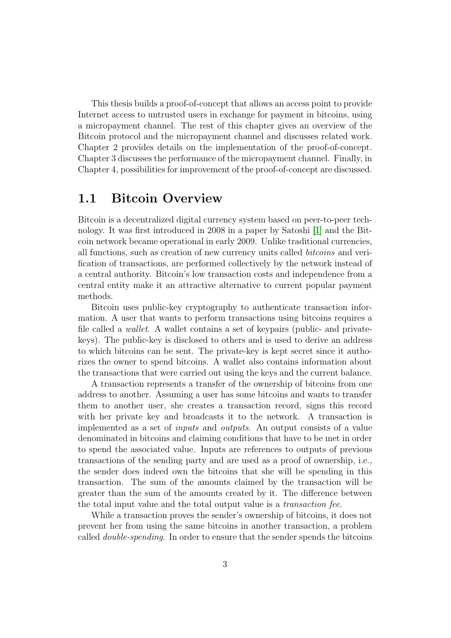This thesis builds a proof-of-concept that allows an access point to provide Internet access to untrusted users in exchange for payment in bitcoins, using a micropayment channel. The rest of this chapter gives an overview of the Bitcoin protocol and the micropayment channel and discusses related work. Chapter 2 provides details on the implementation of the proof-of-concept. Chapter 3 discusses the performance of the micropayment channel. Finally, in Chapter 4, possibilities for improvement of the proof-of-concept are discussed.

#### <span id="page-4-0"></span>1.1 Bitcoin Overview

Bitcoin is a decentralized digital currency system based on peer-to-peer technology. It was first introduced in 2008 in a paper by Satoshi [\[1\]](#page-21-0) and the Bitcoin network became operational in early 2009. Unlike traditional currencies, all functions, such as creation of new currency units called bitcoins and verification of transactions, are performed collectively by the network instead of a central authority. Bitcoin's low transaction costs and independence from a central entity make it an attractive alternative to current popular payment methods.

Bitcoin uses public-key cryptography to authenticate transaction information. A user that wants to perform transactions using bitcoins requires a file called a wallet. A wallet contains a set of keypairs (public- and privatekeys). The public-key is disclosed to others and is used to derive an address to which bitcoins can be sent. The private-key is kept secret since it authorizes the owner to spend bitcoins. A wallet also contains information about the transactions that were carried out using the keys and the current balance.

A transaction represents a transfer of the ownership of bitcoins from one address to another. Assuming a user has some bitcoins and wants to transfer them to another user, she creates a transaction record, signs this record with her private key and broadcasts it to the network. A transaction is implemented as a set of inputs and outputs. An output consists of a value denominated in bitcoins and claiming conditions that have to be met in order to spend the associated value. Inputs are references to outputs of previous transactions of the sending party and are used as a proof of ownership, i.e., the sender does indeed own the bitcoins that she will be spending in this transaction. The sum of the amounts claimed by the transaction will be greater than the sum of the amounts created by it. The difference between the total input value and the total output value is a transaction fee.

While a transaction proves the sender's ownership of bitcoins, it does not prevent her from using the same bitcoins in another transaction, a problem called double-spending. In order to ensure that the sender spends the bitcoins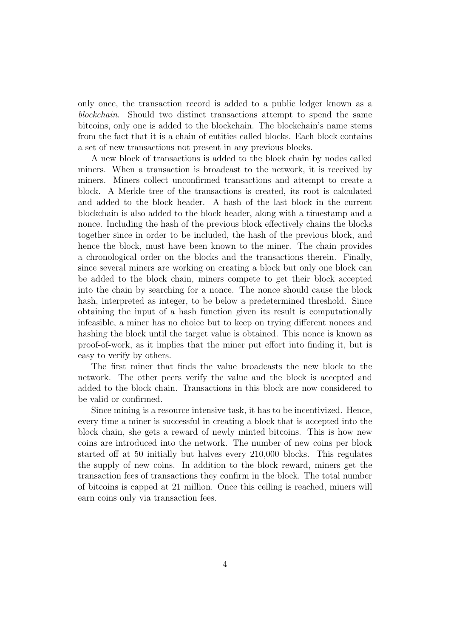only once, the transaction record is added to a public ledger known as a blockchain. Should two distinct transactions attempt to spend the same bitcoins, only one is added to the blockchain. The blockchain's name stems from the fact that it is a chain of entities called blocks. Each block contains a set of new transactions not present in any previous blocks.

A new block of transactions is added to the block chain by nodes called miners. When a transaction is broadcast to the network, it is received by miners. Miners collect unconfirmed transactions and attempt to create a block. A Merkle tree of the transactions is created, its root is calculated and added to the block header. A hash of the last block in the current blockchain is also added to the block header, along with a timestamp and a nonce. Including the hash of the previous block effectively chains the blocks together since in order to be included, the hash of the previous block, and hence the block, must have been known to the miner. The chain provides a chronological order on the blocks and the transactions therein. Finally, since several miners are working on creating a block but only one block can be added to the block chain, miners compete to get their block accepted into the chain by searching for a nonce. The nonce should cause the block hash, interpreted as integer, to be below a predetermined threshold. Since obtaining the input of a hash function given its result is computationally infeasible, a miner has no choice but to keep on trying different nonces and hashing the block until the target value is obtained. This nonce is known as proof-of-work, as it implies that the miner put effort into finding it, but is easy to verify by others.

The first miner that finds the value broadcasts the new block to the network. The other peers verify the value and the block is accepted and added to the block chain. Transactions in this block are now considered to be valid or confirmed.

Since mining is a resource intensive task, it has to be incentivized. Hence, every time a miner is successful in creating a block that is accepted into the block chain, she gets a reward of newly minted bitcoins. This is how new coins are introduced into the network. The number of new coins per block started off at 50 initially but halves every 210,000 blocks. This regulates the supply of new coins. In addition to the block reward, miners get the transaction fees of transactions they confirm in the block. The total number of bitcoins is capped at 21 million. Once this ceiling is reached, miners will earn coins only via transaction fees.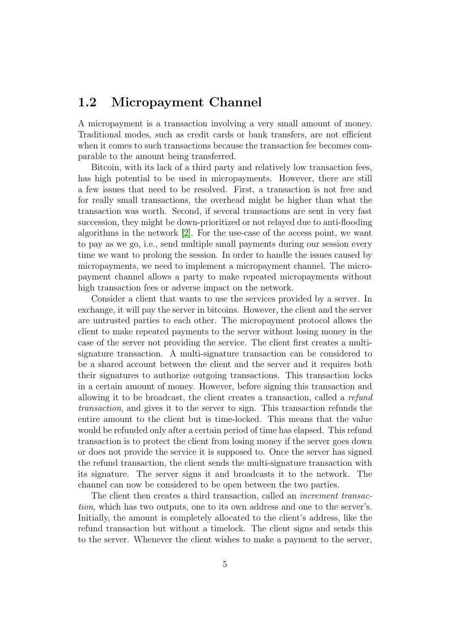#### <span id="page-6-0"></span>1.2 Micropayment Channel

A micropayment is a transaction involving a very small amount of money. Traditional modes, such as credit cards or bank transfers, are not efficient when it comes to such transactions because the transaction fee becomes comparable to the amount being transferred.

Bitcoin, with its lack of a third party and relatively low transaction fees, has high potential to be used in micropayments. However, there are still a few issues that need to be resolved. First, a transaction is not free and for really small transactions, the overhead might be higher than what the transaction was worth. Second, if several transactions are sent in very fast succession, they might be down-prioritized or not relayed due to anti-flooding algorithms in the network [\[2\]](#page-21-1). For the use-case of the access point, we want to pay as we go, i.e., send multiple small payments during our session every time we want to prolong the session. In order to handle the issues caused by micropayments, we need to implement a micropayment channel. The micropayment channel allows a party to make repeated micropayments without high transaction fees or adverse impact on the network.

Consider a client that wants to use the services provided by a server. In exchange, it will pay the server in bitcoins. However, the client and the server are untrusted parties to each other. The micropayment protocol allows the client to make repeated payments to the server without losing money in the case of the server not providing the service. The client first creates a multisignature transaction. A multi-signature transaction can be considered to be a shared account between the client and the server and it requires both their signatures to authorize outgoing transactions. This transaction locks in a certain amount of money. However, before signing this transaction and allowing it to be broadcast, the client creates a transaction, called a refund transaction, and gives it to the server to sign. This transaction refunds the entire amount to the client but is time-locked. This means that the value would be refunded only after a certain period of time has elapsed. This refund transaction is to protect the client from losing money if the server goes down or does not provide the service it is supposed to. Once the server has signed the refund transaction, the client sends the multi-signature transaction with its signature. The server signs it and broadcasts it to the network. The channel can now be considered to be open between the two parties.

The client then creates a third transaction, called an increment transaction, which has two outputs, one to its own address and one to the server's. Initially, the amount is completely allocated to the client's address, like the refund transaction but without a timelock. The client signs and sends this to the server. Whenever the client wishes to make a payment to the server,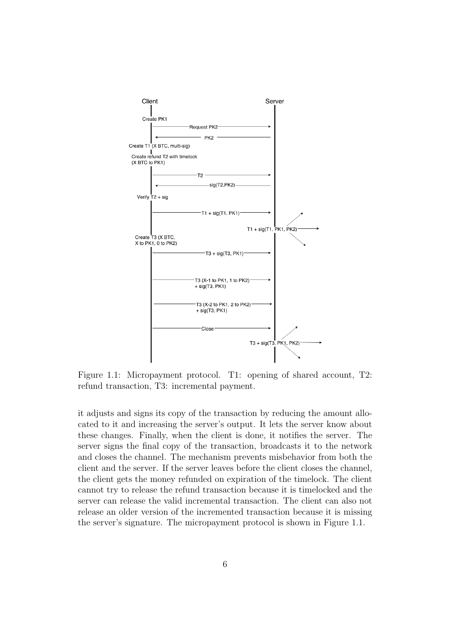

Figure 1.1: Micropayment protocol. T1: opening of shared account, T2: refund transaction, T3: incremental payment.

it adjusts and signs its copy of the transaction by reducing the amount allocated to it and increasing the server's output. It lets the server know about these changes. Finally, when the client is done, it notifies the server. The server signs the final copy of the transaction, broadcasts it to the network and closes the channel. The mechanism prevents misbehavior from both the client and the server. If the server leaves before the client closes the channel, the client gets the money refunded on expiration of the timelock. The client cannot try to release the refund transaction because it is timelocked and the server can release the valid incremental transaction. The client can also not release an older version of the incremented transaction because it is missing the server's signature. The micropayment protocol is shown in Figure 1.1.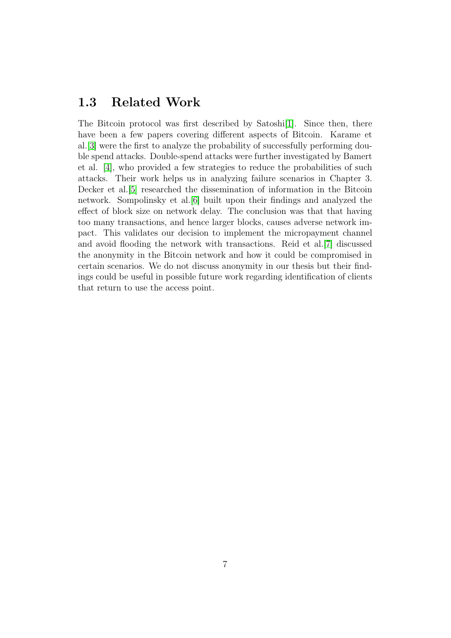#### <span id="page-8-0"></span>1.3 Related Work

The Bitcoin protocol was first described by Satoshi[\[1\]](#page-21-0). Since then, there have been a few papers covering different aspects of Bitcoin. Karame et al.[\[3\]](#page-21-2) were the first to analyze the probability of successfully performing double spend attacks. Double-spend attacks were further investigated by Bamert et al. [\[4\]](#page-21-3), who provided a few strategies to reduce the probabilities of such attacks. Their work helps us in analyzing failure scenarios in Chapter 3. Decker et al.[\[5\]](#page-21-4) researched the dissemination of information in the Bitcoin network. Sompolinsky et al.[\[6\]](#page-21-5) built upon their findings and analyzed the effect of block size on network delay. The conclusion was that that having too many transactions, and hence larger blocks, causes adverse network impact. This validates our decision to implement the micropayment channel and avoid flooding the network with transactions. Reid et al.[\[7\]](#page-21-6) discussed the anonymity in the Bitcoin network and how it could be compromised in certain scenarios. We do not discuss anonymity in our thesis but their findings could be useful in possible future work regarding identification of clients that return to use the access point.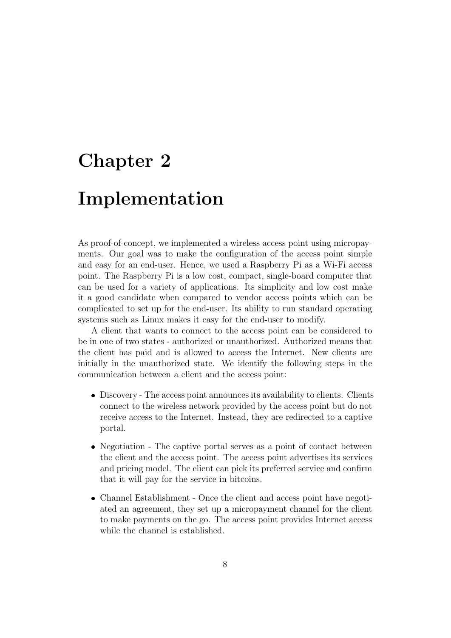### <span id="page-9-0"></span>Chapter 2

### Implementation

As proof-of-concept, we implemented a wireless access point using micropayments. Our goal was to make the configuration of the access point simple and easy for an end-user. Hence, we used a Raspberry Pi as a Wi-Fi access point. The Raspberry Pi is a low cost, compact, single-board computer that can be used for a variety of applications. Its simplicity and low cost make it a good candidate when compared to vendor access points which can be complicated to set up for the end-user. Its ability to run standard operating systems such as Linux makes it easy for the end-user to modify.

A client that wants to connect to the access point can be considered to be in one of two states - authorized or unauthorized. Authorized means that the client has paid and is allowed to access the Internet. New clients are initially in the unauthorized state. We identify the following steps in the communication between a client and the access point:

- Discovery The access point announces its availability to clients. Clients connect to the wireless network provided by the access point but do not receive access to the Internet. Instead, they are redirected to a captive portal.
- Negotiation The captive portal serves as a point of contact between the client and the access point. The access point advertises its services and pricing model. The client can pick its preferred service and confirm that it will pay for the service in bitcoins.
- Channel Establishment Once the client and access point have negotiated an agreement, they set up a micropayment channel for the client to make payments on the go. The access point provides Internet access while the channel is established.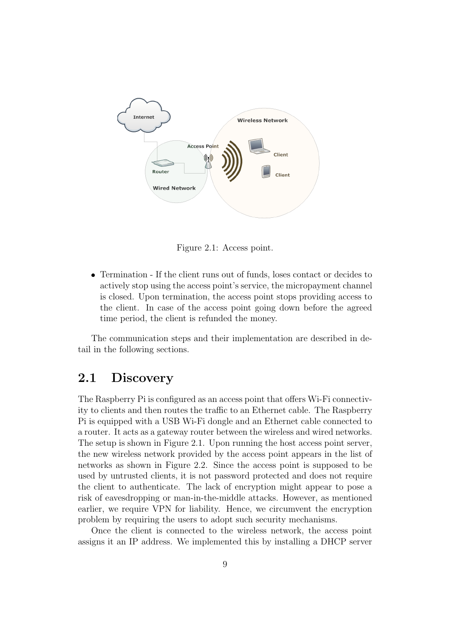

Figure 2.1: Access point.

 Termination - If the client runs out of funds, loses contact or decides to actively stop using the access point's service, the micropayment channel is closed. Upon termination, the access point stops providing access to the client. In case of the access point going down before the agreed time period, the client is refunded the money.

The communication steps and their implementation are described in detail in the following sections.

#### <span id="page-10-0"></span>2.1 Discovery

The Raspberry Pi is configured as an access point that offers Wi-Fi connectivity to clients and then routes the traffic to an Ethernet cable. The Raspberry Pi is equipped with a USB Wi-Fi dongle and an Ethernet cable connected to a router. It acts as a gateway router between the wireless and wired networks. The setup is shown in Figure 2.1. Upon running the host access point server, the new wireless network provided by the access point appears in the list of networks as shown in Figure 2.2. Since the access point is supposed to be used by untrusted clients, it is not password protected and does not require the client to authenticate. The lack of encryption might appear to pose a risk of eavesdropping or man-in-the-middle attacks. However, as mentioned earlier, we require VPN for liability. Hence, we circumvent the encryption problem by requiring the users to adopt such security mechanisms.

Once the client is connected to the wireless network, the access point assigns it an IP address. We implemented this by installing a DHCP server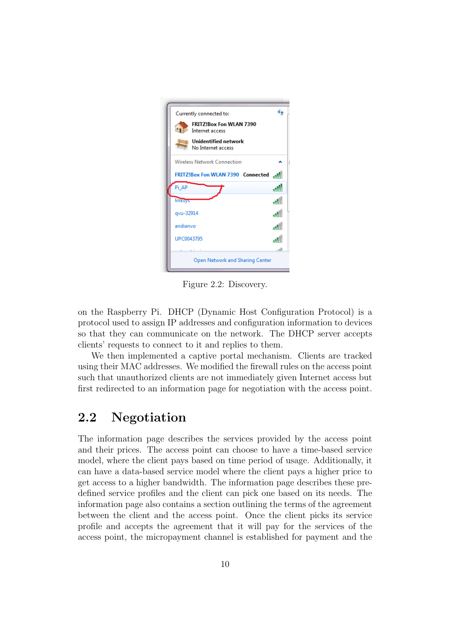|            | Currently connected to:<br><b>FRITZ!Box Fon WLAN 7390</b> |      |
|------------|-----------------------------------------------------------|------|
|            | Internet access                                           |      |
|            | <b>Unidentified network</b><br>No Internet access         |      |
|            | Wireless Network Connection                               |      |
|            | FRITZ!Box Fon WLAN 7390 Connected                         | Ma.  |
| Pi AP      |                                                           |      |
| linksys    |                                                           | ۱M.  |
| qvu-32914  |                                                           | العب |
| andianvo   |                                                           | اللم |
| UPC0043795 |                                                           |      |
|            |                                                           | n1   |

Figure 2.2: Discovery.

on the Raspberry Pi. DHCP (Dynamic Host Configuration Protocol) is a protocol used to assign IP addresses and configuration information to devices so that they can communicate on the network. The DHCP server accepts clients' requests to connect to it and replies to them.

We then implemented a captive portal mechanism. Clients are tracked using their MAC addresses. We modified the firewall rules on the access point such that unauthorized clients are not immediately given Internet access but first redirected to an information page for negotiation with the access point.

### <span id="page-11-0"></span>2.2 Negotiation

The information page describes the services provided by the access point and their prices. The access point can choose to have a time-based service model, where the client pays based on time period of usage. Additionally, it can have a data-based service model where the client pays a higher price to get access to a higher bandwidth. The information page describes these predefined service profiles and the client can pick one based on its needs. The information page also contains a section outlining the terms of the agreement between the client and the access point. Once the client picks its service profile and accepts the agreement that it will pay for the services of the access point, the micropayment channel is established for payment and the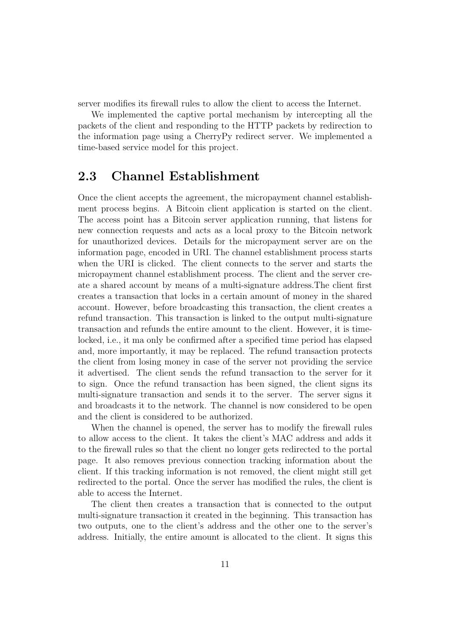server modifies its firewall rules to allow the client to access the Internet.

We implemented the captive portal mechanism by intercepting all the packets of the client and responding to the HTTP packets by redirection to the information page using a CherryPy redirect server. We implemented a time-based service model for this project.

#### <span id="page-12-0"></span>2.3 Channel Establishment

Once the client accepts the agreement, the micropayment channel establishment process begins. A Bitcoin client application is started on the client. The access point has a Bitcoin server application running, that listens for new connection requests and acts as a local proxy to the Bitcoin network for unauthorized devices. Details for the micropayment server are on the information page, encoded in URI. The channel establishment process starts when the URI is clicked. The client connects to the server and starts the micropayment channel establishment process. The client and the server create a shared account by means of a multi-signature address.The client first creates a transaction that locks in a certain amount of money in the shared account. However, before broadcasting this transaction, the client creates a refund transaction. This transaction is linked to the output multi-signature transaction and refunds the entire amount to the client. However, it is timelocked, i.e., it ma only be confirmed after a specified time period has elapsed and, more importantly, it may be replaced. The refund transaction protects the client from losing money in case of the server not providing the service it advertised. The client sends the refund transaction to the server for it to sign. Once the refund transaction has been signed, the client signs its multi-signature transaction and sends it to the server. The server signs it and broadcasts it to the network. The channel is now considered to be open and the client is considered to be authorized.

When the channel is opened, the server has to modify the firewall rules to allow access to the client. It takes the client's MAC address and adds it to the firewall rules so that the client no longer gets redirected to the portal page. It also removes previous connection tracking information about the client. If this tracking information is not removed, the client might still get redirected to the portal. Once the server has modified the rules, the client is able to access the Internet.

The client then creates a transaction that is connected to the output multi-signature transaction it created in the beginning. This transaction has two outputs, one to the client's address and the other one to the server's address. Initially, the entire amount is allocated to the client. It signs this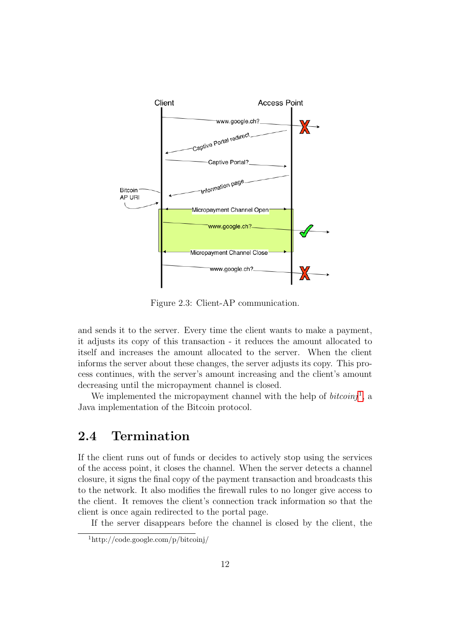

Figure 2.3: Client-AP communication.

and sends it to the server. Every time the client wants to make a payment, it adjusts its copy of this transaction - it reduces the amount allocated to itself and increases the amount allocated to the server. When the client informs the server about these changes, the server adjusts its copy. This process continues, with the server's amount increasing and the client's amount decreasing until the micropayment channel is closed.

We implemented the micropayment channel with the help of  $bitoinj<sup>1</sup>$  $bitoinj<sup>1</sup>$  $bitoinj<sup>1</sup>$ , a Java implementation of the Bitcoin protocol.

#### <span id="page-13-0"></span>2.4 Termination

If the client runs out of funds or decides to actively stop using the services of the access point, it closes the channel. When the server detects a channel closure, it signs the final copy of the payment transaction and broadcasts this to the network. It also modifies the firewall rules to no longer give access to the client. It removes the client's connection track information so that the client is once again redirected to the portal page.

If the server disappears before the channel is closed by the client, the

<span id="page-13-1"></span><sup>1</sup>http://code.google.com/p/bitcoinj/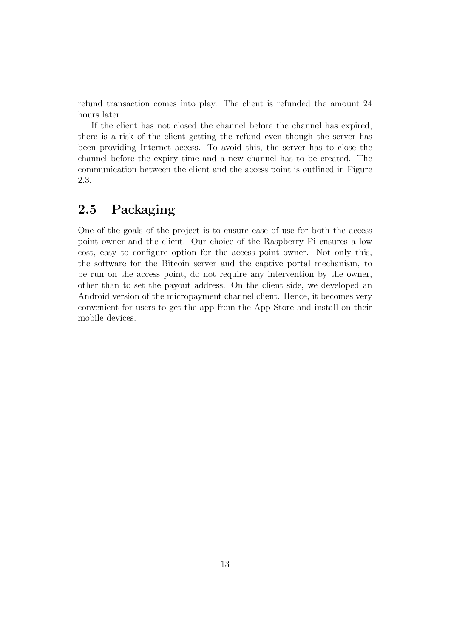refund transaction comes into play. The client is refunded the amount 24 hours later.

If the client has not closed the channel before the channel has expired, there is a risk of the client getting the refund even though the server has been providing Internet access. To avoid this, the server has to close the channel before the expiry time and a new channel has to be created. The communication between the client and the access point is outlined in Figure 2.3.

#### <span id="page-14-0"></span>2.5 Packaging

One of the goals of the project is to ensure ease of use for both the access point owner and the client. Our choice of the Raspberry Pi ensures a low cost, easy to configure option for the access point owner. Not only this, the software for the Bitcoin server and the captive portal mechanism, to be run on the access point, do not require any intervention by the owner, other than to set the payout address. On the client side, we developed an Android version of the micropayment channel client. Hence, it becomes very convenient for users to get the app from the App Store and install on their mobile devices.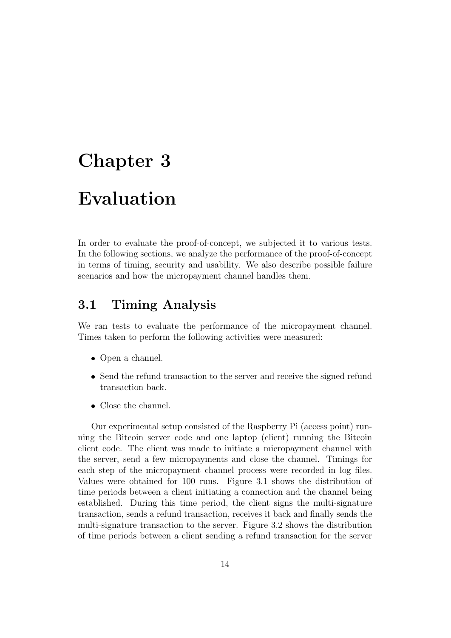### <span id="page-15-0"></span>Chapter 3

### Evaluation

In order to evaluate the proof-of-concept, we subjected it to various tests. In the following sections, we analyze the performance of the proof-of-concept in terms of timing, security and usability. We also describe possible failure scenarios and how the micropayment channel handles them.

#### <span id="page-15-1"></span>3.1 Timing Analysis

We ran tests to evaluate the performance of the micropayment channel. Times taken to perform the following activities were measured:

- Open a channel.
- Send the refund transaction to the server and receive the signed refund transaction back.
- $\bullet$  Close the channel.

Our experimental setup consisted of the Raspberry Pi (access point) running the Bitcoin server code and one laptop (client) running the Bitcoin client code. The client was made to initiate a micropayment channel with the server, send a few micropayments and close the channel. Timings for each step of the micropayment channel process were recorded in log files. Values were obtained for 100 runs. Figure 3.1 shows the distribution of time periods between a client initiating a connection and the channel being established. During this time period, the client signs the multi-signature transaction, sends a refund transaction, receives it back and finally sends the multi-signature transaction to the server. Figure 3.2 shows the distribution of time periods between a client sending a refund transaction for the server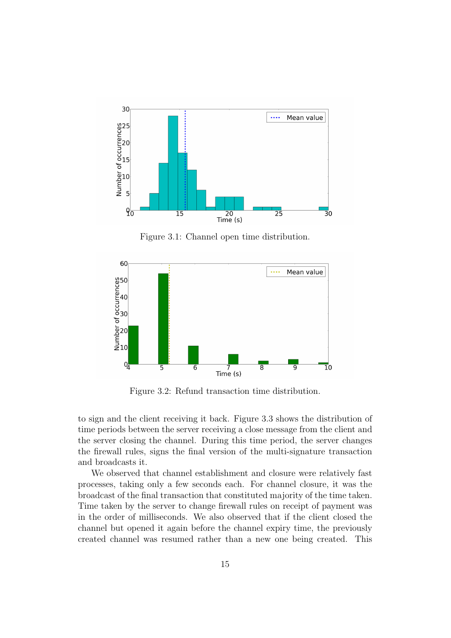

Figure 3.1: Channel open time distribution.



Figure 3.2: Refund transaction time distribution.

to sign and the client receiving it back. Figure 3.3 shows the distribution of time periods between the server receiving a close message from the client and the server closing the channel. During this time period, the server changes the firewall rules, signs the final version of the multi-signature transaction and broadcasts it.

We observed that channel establishment and closure were relatively fast processes, taking only a few seconds each. For channel closure, it was the broadcast of the final transaction that constituted majority of the time taken. Time taken by the server to change firewall rules on receipt of payment was in the order of milliseconds. We also observed that if the client closed the channel but opened it again before the channel expiry time, the previously created channel was resumed rather than a new one being created. This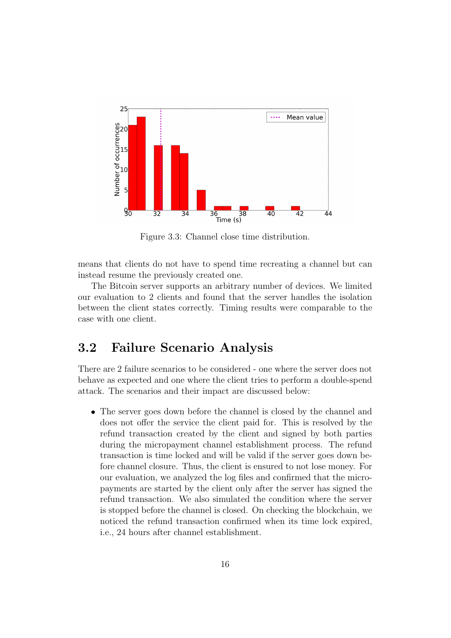

Figure 3.3: Channel close time distribution.

means that clients do not have to spend time recreating a channel but can instead resume the previously created one.

The Bitcoin server supports an arbitrary number of devices. We limited our evaluation to 2 clients and found that the server handles the isolation between the client states correctly. Timing results were comparable to the case with one client.

#### <span id="page-17-0"></span>3.2 Failure Scenario Analysis

There are 2 failure scenarios to be considered - one where the server does not behave as expected and one where the client tries to perform a double-spend attack. The scenarios and their impact are discussed below:

 The server goes down before the channel is closed by the channel and does not offer the service the client paid for. This is resolved by the refund transaction created by the client and signed by both parties during the micropayment channel establishment process. The refund transaction is time locked and will be valid if the server goes down before channel closure. Thus, the client is ensured to not lose money. For our evaluation, we analyzed the log files and confirmed that the micropayments are started by the client only after the server has signed the refund transaction. We also simulated the condition where the server is stopped before the channel is closed. On checking the blockchain, we noticed the refund transaction confirmed when its time lock expired, i.e., 24 hours after channel establishment.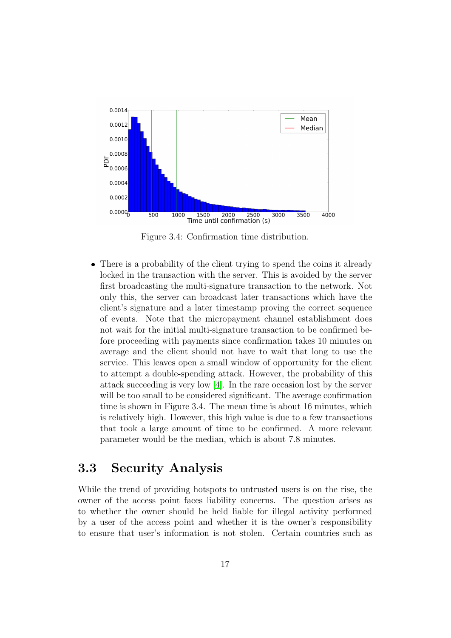

Figure 3.4: Confirmation time distribution.

 There is a probability of the client trying to spend the coins it already locked in the transaction with the server. This is avoided by the server first broadcasting the multi-signature transaction to the network. Not only this, the server can broadcast later transactions which have the client's signature and a later timestamp proving the correct sequence of events. Note that the micropayment channel establishment does not wait for the initial multi-signature transaction to be confirmed before proceeding with payments since confirmation takes 10 minutes on average and the client should not have to wait that long to use the service. This leaves open a small window of opportunity for the client to attempt a double-spending attack. However, the probability of this attack succeeding is very low [\[4\]](#page-21-3). In the rare occasion lost by the server will be too small to be considered significant. The average confirmation time is shown in Figure 3.4. The mean time is about 16 minutes, which is relatively high. However, this high value is due to a few transactions that took a large amount of time to be confirmed. A more relevant parameter would be the median, which is about 7.8 minutes.

#### <span id="page-18-0"></span>3.3 Security Analysis

While the trend of providing hotspots to untrusted users is on the rise, the owner of the access point faces liability concerns. The question arises as to whether the owner should be held liable for illegal activity performed by a user of the access point and whether it is the owner's responsibility to ensure that user's information is not stolen. Certain countries such as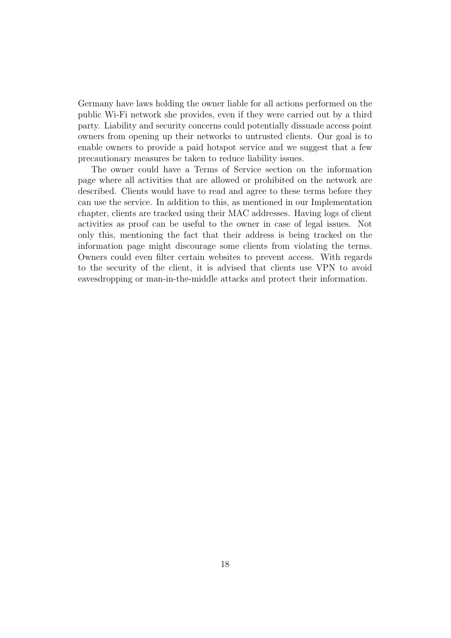Germany have laws holding the owner liable for all actions performed on the public Wi-Fi network she provides, even if they were carried out by a third party. Liability and security concerns could potentially dissuade access point owners from opening up their networks to untrusted clients. Our goal is to enable owners to provide a paid hotspot service and we suggest that a few precautionary measures be taken to reduce liability issues.

The owner could have a Terms of Service section on the information page where all activities that are allowed or prohibited on the network are described. Clients would have to read and agree to these terms before they can use the service. In addition to this, as mentioned in our Implementation chapter, clients are tracked using their MAC addresses. Having logs of client activities as proof can be useful to the owner in case of legal issues. Not only this, mentioning the fact that their address is being tracked on the information page might discourage some clients from violating the terms. Owners could even filter certain websites to prevent access. With regards to the security of the client, it is advised that clients use VPN to avoid eavesdropping or man-in-the-middle attacks and protect their information.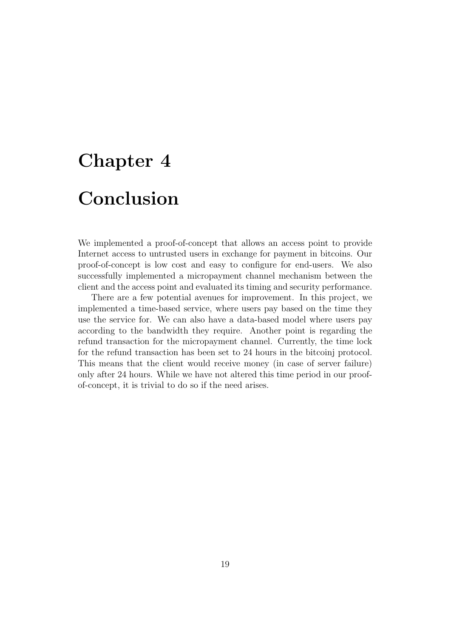# <span id="page-20-0"></span>Chapter 4 Conclusion

We implemented a proof-of-concept that allows an access point to provide Internet access to untrusted users in exchange for payment in bitcoins. Our proof-of-concept is low cost and easy to configure for end-users. We also successfully implemented a micropayment channel mechanism between the client and the access point and evaluated its timing and security performance.

There are a few potential avenues for improvement. In this project, we implemented a time-based service, where users pay based on the time they use the service for. We can also have a data-based model where users pay according to the bandwidth they require. Another point is regarding the refund transaction for the micropayment channel. Currently, the time lock for the refund transaction has been set to 24 hours in the bitcoinj protocol. This means that the client would receive money (in case of server failure) only after 24 hours. While we have not altered this time period in our proofof-concept, it is trivial to do so if the need arises.